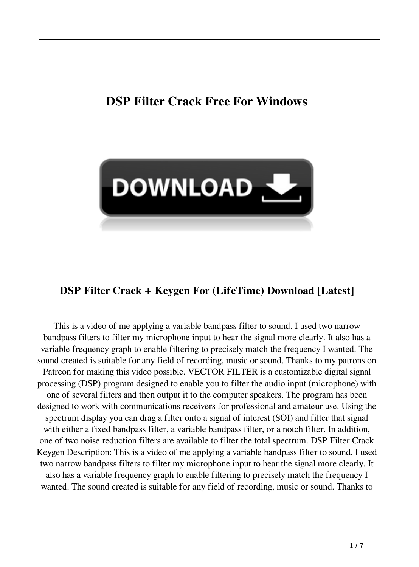# **DSP Filter Crack Free For Windows**



#### **DSP Filter Crack + Keygen For (LifeTime) Download [Latest]**

This is a video of me applying a variable bandpass filter to sound. I used two narrow bandpass filters to filter my microphone input to hear the signal more clearly. It also has a variable frequency graph to enable filtering to precisely match the frequency I wanted. The sound created is suitable for any field of recording, music or sound. Thanks to my patrons on Patreon for making this video possible. VECTOR FILTER is a customizable digital signal processing (DSP) program designed to enable you to filter the audio input (microphone) with one of several filters and then output it to the computer speakers. The program has been designed to work with communications receivers for professional and amateur use. Using the spectrum display you can drag a filter onto a signal of interest (SOI) and filter that signal with either a fixed bandpass filter, a variable bandpass filter, or a notch filter. In addition, one of two noise reduction filters are available to filter the total spectrum. DSP Filter Crack Keygen Description: This is a video of me applying a variable bandpass filter to sound. I used two narrow bandpass filters to filter my microphone input to hear the signal more clearly. It also has a variable frequency graph to enable filtering to precisely match the frequency I wanted. The sound created is suitable for any field of recording, music or sound. Thanks to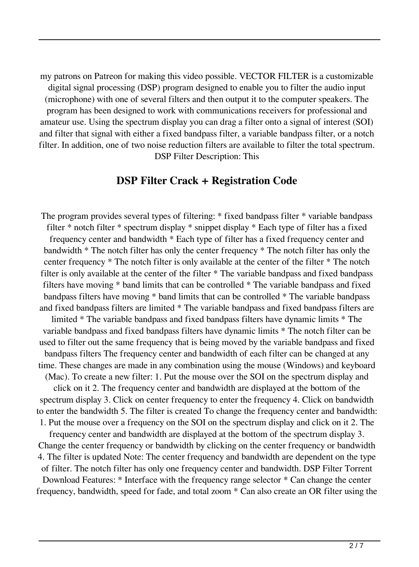my patrons on Patreon for making this video possible. VECTOR FILTER is a customizable digital signal processing (DSP) program designed to enable you to filter the audio input (microphone) with one of several filters and then output it to the computer speakers. The program has been designed to work with communications receivers for professional and amateur use. Using the spectrum display you can drag a filter onto a signal of interest (SOI) and filter that signal with either a fixed bandpass filter, a variable bandpass filter, or a notch filter. In addition, one of two noise reduction filters are available to filter the total spectrum. DSP Filter Description: This

#### **DSP Filter Crack + Registration Code**

The program provides several types of filtering: \* fixed bandpass filter \* variable bandpass filter \* notch filter \* spectrum display \* snippet display \* Each type of filter has a fixed frequency center and bandwidth \* Each type of filter has a fixed frequency center and bandwidth \* The notch filter has only the center frequency \* The notch filter has only the center frequency \* The notch filter is only available at the center of the filter \* The notch filter is only available at the center of the filter \* The variable bandpass and fixed bandpass filters have moving \* band limits that can be controlled \* The variable bandpass and fixed bandpass filters have moving \* band limits that can be controlled \* The variable bandpass and fixed bandpass filters are limited \* The variable bandpass and fixed bandpass filters are limited \* The variable bandpass and fixed bandpass filters have dynamic limits \* The variable bandpass and fixed bandpass filters have dynamic limits \* The notch filter can be used to filter out the same frequency that is being moved by the variable bandpass and fixed bandpass filters The frequency center and bandwidth of each filter can be changed at any time. These changes are made in any combination using the mouse (Windows) and keyboard (Mac). To create a new filter: 1. Put the mouse over the SOI on the spectrum display and click on it 2. The frequency center and bandwidth are displayed at the bottom of the spectrum display 3. Click on center frequency to enter the frequency 4. Click on bandwidth to enter the bandwidth 5. The filter is created To change the frequency center and bandwidth: 1. Put the mouse over a frequency on the SOI on the spectrum display and click on it 2. The frequency center and bandwidth are displayed at the bottom of the spectrum display 3. Change the center frequency or bandwidth by clicking on the center frequency or bandwidth 4. The filter is updated Note: The center frequency and bandwidth are dependent on the type of filter. The notch filter has only one frequency center and bandwidth. DSP Filter Torrent Download Features: \* Interface with the frequency range selector \* Can change the center frequency, bandwidth, speed for fade, and total zoom \* Can also create an OR filter using the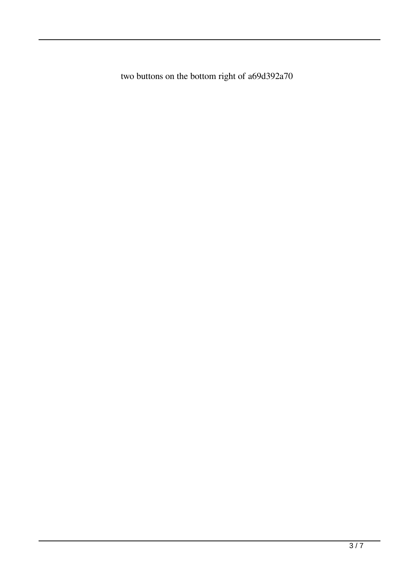two buttons on the bottom right of a69d392a70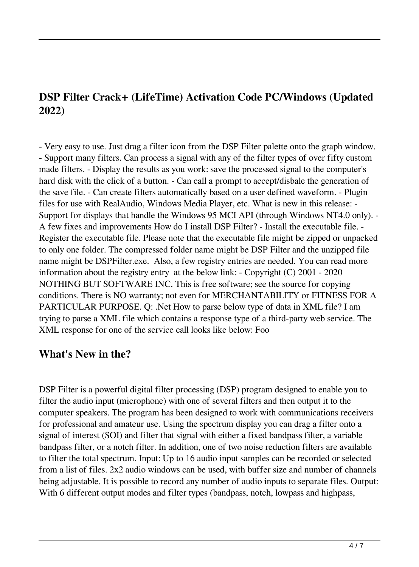### **DSP Filter Crack+ (LifeTime) Activation Code PC/Windows (Updated 2022)**

- Very easy to use. Just drag a filter icon from the DSP Filter palette onto the graph window. - Support many filters. Can process a signal with any of the filter types of over fifty custom made filters. - Display the results as you work: save the processed signal to the computer's hard disk with the click of a button. - Can call a prompt to accept/disbale the generation of the save file. - Can create filters automatically based on a user defined waveform. - Plugin files for use with RealAudio, Windows Media Player, etc. What is new in this release: - Support for displays that handle the Windows 95 MCI API (through Windows NT4.0 only). - A few fixes and improvements How do I install DSP Filter? - Install the executable file. - Register the executable file. Please note that the executable file might be zipped or unpacked to only one folder. The compressed folder name might be DSP Filter and the unzipped file name might be DSPFilter.exe. Also, a few registry entries are needed. You can read more information about the registry entry at the below link: - Copyright (C) 2001 - 2020 NOTHING BUT SOFTWARE INC. This is free software; see the source for copying conditions. There is NO warranty; not even for MERCHANTABILITY or FITNESS FOR A PARTICULAR PURPOSE. Q: .Net How to parse below type of data in XML file? I am trying to parse a XML file which contains a response type of a third-party web service. The XML response for one of the service call looks like below: Foo

### **What's New in the?**

DSP Filter is a powerful digital filter processing (DSP) program designed to enable you to filter the audio input (microphone) with one of several filters and then output it to the computer speakers. The program has been designed to work with communications receivers for professional and amateur use. Using the spectrum display you can drag a filter onto a signal of interest (SOI) and filter that signal with either a fixed bandpass filter, a variable bandpass filter, or a notch filter. In addition, one of two noise reduction filters are available to filter the total spectrum. Input: Up to 16 audio input samples can be recorded or selected from a list of files. 2x2 audio windows can be used, with buffer size and number of channels being adjustable. It is possible to record any number of audio inputs to separate files. Output: With 6 different output modes and filter types (bandpass, notch, lowpass and highpass,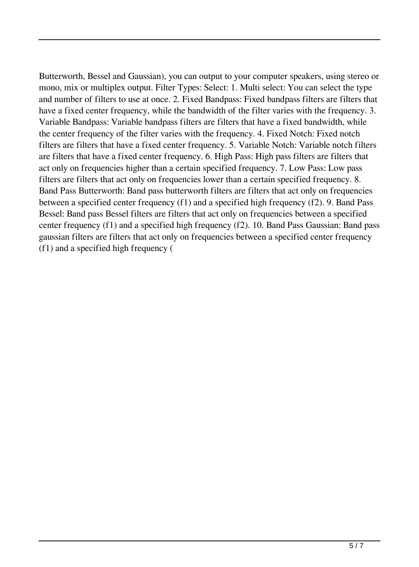Butterworth, Bessel and Gaussian), you can output to your computer speakers, using stereo or mono, mix or multiplex output. Filter Types: Select: 1. Multi select: You can select the type and number of filters to use at once. 2. Fixed Bandpass: Fixed bandpass filters are filters that have a fixed center frequency, while the bandwidth of the filter varies with the frequency. 3. Variable Bandpass: Variable bandpass filters are filters that have a fixed bandwidth, while the center frequency of the filter varies with the frequency. 4. Fixed Notch: Fixed notch filters are filters that have a fixed center frequency. 5. Variable Notch: Variable notch filters are filters that have a fixed center frequency. 6. High Pass: High pass filters are filters that act only on frequencies higher than a certain specified frequency. 7. Low Pass: Low pass filters are filters that act only on frequencies lower than a certain specified frequency. 8. Band Pass Butterworth: Band pass butterworth filters are filters that act only on frequencies between a specified center frequency (f1) and a specified high frequency (f2). 9. Band Pass Bessel: Band pass Bessel filters are filters that act only on frequencies between a specified center frequency (f1) and a specified high frequency (f2). 10. Band Pass Gaussian: Band pass gaussian filters are filters that act only on frequencies between a specified center frequency (f1) and a specified high frequency (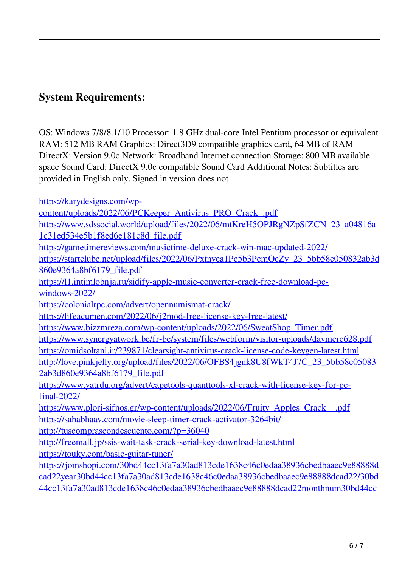## **System Requirements:**

OS: Windows 7/8/8.1/10 Processor: 1.8 GHz dual-core Intel Pentium processor or equivalent RAM: 512 MB RAM Graphics: Direct3D9 compatible graphics card, 64 MB of RAM DirectX: Version 9.0c Network: Broadband Internet connection Storage: 800 MB available space Sound Card: DirectX 9.0c compatible Sound Card Additional Notes: Subtitles are provided in English only. Signed in version does not

[https://karydesigns.com/wp-](https://karydesigns.com/wp-content/uploads/2022/06/PCKeeper_Antivirus_PRO_Crack_.pdf)

[content/uploads/2022/06/PCKeeper\\_Antivirus\\_PRO\\_Crack\\_.pdf](https://karydesigns.com/wp-content/uploads/2022/06/PCKeeper_Antivirus_PRO_Crack_.pdf) [https://www.sdssocial.world/upload/files/2022/06/mtKreH5OPJRgNZpSfZCN\\_23\\_a04816a](https://www.sdssocial.world/upload/files/2022/06/mtKreH5OPJRgNZpSfZCN_23_a04816a1c31ed534e5b1f8ed6e181c8d_file.pdf)

[1c31ed534e5b1f8ed6e181c8d\\_file.pdf](https://www.sdssocial.world/upload/files/2022/06/mtKreH5OPJRgNZpSfZCN_23_a04816a1c31ed534e5b1f8ed6e181c8d_file.pdf)

<https://gametimereviews.com/musictime-deluxe-crack-win-mac-updated-2022/>

https://startclube.net/upload/files/2022/06/Pxtnyea1Pc5b3PcmOcZy\_23\_5bb58c050832ab3d [860e9364a8bf6179\\_file.pdf](https://startclube.net/upload/files/2022/06/Pxtnyea1Pc5b3PcmQcZy_23_5bb58c050832ab3d860e9364a8bf6179_file.pdf)

[https://l1.intimlobnja.ru/sidify-apple-music-converter-crack-free-download-pc](https://l1.intimlobnja.ru/sidify-apple-music-converter-crack-free-download-pc-windows-2022/)[windows-2022/](https://l1.intimlobnja.ru/sidify-apple-music-converter-crack-free-download-pc-windows-2022/)

<https://colonialrpc.com/advert/opennumismat-crack/>

<https://lifeacumen.com/2022/06/j2mod-free-license-key-free-latest/>

[https://www.bizzmreza.com/wp-content/uploads/2022/06/SweatShop\\_Timer.pdf](https://www.bizzmreza.com/wp-content/uploads/2022/06/SweatShop_Timer.pdf)

<https://www.synergyatwork.be/fr-be/system/files/webform/visitor-uploads/davmerc628.pdf> <https://omidsoltani.ir/239871/clearsight-antivirus-crack-license-code-keygen-latest.html> [http://love.pinkjelly.org/upload/files/2022/06/OFBS4jgnk8U8fWkT4J7C\\_23\\_5bb58c05083](http://love.pinkjelly.org/upload/files/2022/06/OFBS4jgnk8U8fWkT4J7C_23_5bb58c050832ab3d860e9364a8bf6179_file.pdf)

[2ab3d860e9364a8bf6179\\_file.pdf](http://love.pinkjelly.org/upload/files/2022/06/OFBS4jgnk8U8fWkT4J7C_23_5bb58c050832ab3d860e9364a8bf6179_file.pdf)

[https://www.yatrdu.org/advert/capetools-quanttools-xl-crack-with-license-key-for-pc](https://www.yatrdu.org/advert/capetools-quanttools-xl-crack-with-license-key-for-pc-final-2022/)[final-2022/](https://www.yatrdu.org/advert/capetools-quanttools-xl-crack-with-license-key-for-pc-final-2022/)

[https://www.plori-sifnos.gr/wp-content/uploads/2022/06/Fruity\\_Apples\\_Crack\\_\\_.pdf](https://www.plori-sifnos.gr/wp-content/uploads/2022/06/Fruity_Apples_Crack__.pdf) <https://sahabhaav.com/movie-sleep-timer-crack-activator-3264bit/>

<http://tuscomprascondescuento.com/?p=36040>

<http://freemall.jp/ssis-wait-task-crack-serial-key-download-latest.html>

<https://touky.com/basic-guitar-tuner/>

[https://jomshopi.com/30bd44cc13fa7a30ad813cde1638c46c0edaa38936cbedbaaec9e88888d](https://jomshopi.com/30bd44cc13fa7a30ad813cde1638c46c0edaa38936cbedbaaec9e88888dcad22year30bd44cc13fa7a30ad813cde1638c46c0edaa38936cbedbaaec9e88888dcad22/30bd44cc13fa7a30ad813cde1638c46c0edaa38936cbedbaaec9e88888dcad22monthnum30bd44cc13fa7a30ad813cde1638c46c0edaa38936cbedbaaec9e88888dcad22/30bd44cc13fa7a30ad813cde1638c46c0edaa38936cbedbaaec9e88888dcad22day30bd44cc13fa7a30ad813cde1638c46c0edaa38936cbedbaaec9e88888dcad22/30bd44cc13fa7a30ad813cde1638c46c0edaa38936cbedbaaec9e88888dcad22postname30bd44cc13fa7a30ad813cde1638c46c0edaa38936cbedbaaec9e88888dcad22/) [cad22year30bd44cc13fa7a30ad813cde1638c46c0edaa38936cbedbaaec9e88888dcad22/30bd](https://jomshopi.com/30bd44cc13fa7a30ad813cde1638c46c0edaa38936cbedbaaec9e88888dcad22year30bd44cc13fa7a30ad813cde1638c46c0edaa38936cbedbaaec9e88888dcad22/30bd44cc13fa7a30ad813cde1638c46c0edaa38936cbedbaaec9e88888dcad22monthnum30bd44cc13fa7a30ad813cde1638c46c0edaa38936cbedbaaec9e88888dcad22/30bd44cc13fa7a30ad813cde1638c46c0edaa38936cbedbaaec9e88888dcad22day30bd44cc13fa7a30ad813cde1638c46c0edaa38936cbedbaaec9e88888dcad22/30bd44cc13fa7a30ad813cde1638c46c0edaa38936cbedbaaec9e88888dcad22postname30bd44cc13fa7a30ad813cde1638c46c0edaa38936cbedbaaec9e88888dcad22/) [44cc13fa7a30ad813cde1638c46c0edaa38936cbedbaaec9e88888dcad22monthnum30bd44cc](https://jomshopi.com/30bd44cc13fa7a30ad813cde1638c46c0edaa38936cbedbaaec9e88888dcad22year30bd44cc13fa7a30ad813cde1638c46c0edaa38936cbedbaaec9e88888dcad22/30bd44cc13fa7a30ad813cde1638c46c0edaa38936cbedbaaec9e88888dcad22monthnum30bd44cc13fa7a30ad813cde1638c46c0edaa38936cbedbaaec9e88888dcad22/30bd44cc13fa7a30ad813cde1638c46c0edaa38936cbedbaaec9e88888dcad22day30bd44cc13fa7a30ad813cde1638c46c0edaa38936cbedbaaec9e88888dcad22/30bd44cc13fa7a30ad813cde1638c46c0edaa38936cbedbaaec9e88888dcad22postname30bd44cc13fa7a30ad813cde1638c46c0edaa38936cbedbaaec9e88888dcad22/)